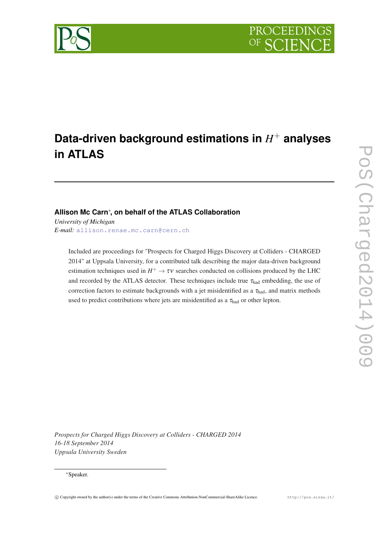

# **Data-driven background estimations in** *H* <sup>+</sup> **analyses in ATLAS**

# **Allison Mc Carn**<sup>∗</sup> **, on behalf of the ATLAS Collaboration**

*University of Michigan E-mail:* [allison.renae.mc.carn@cern.ch](mailto:allison.renae.mc.carn@cern.ch)

> Included are proceedings for "Prospects for Charged Higgs Discovery at Colliders - CHARGED 2014" at Uppsala University, for a contributed talk describing the major data-driven background estimation techniques used in  $H^+ \to \tau \nu$  searches conducted on collisions produced by the LHC and recorded by the ATLAS detector. These techniques include true  $\tau_{\text{had}}$  embedding, the use of correction factors to estimate backgrounds with a jet misidentified as a  $\tau_{\text{had}}$ , and matrix methods used to predict contributions where jets are misidentified as a  $\tau_{\text{had}}$  or other lepton.

*Prospects for Charged Higgs Discovery at Colliders - CHARGED 2014 16-18 September 2014 Uppsala University Sweden*

# <sup>∗</sup>Speaker.

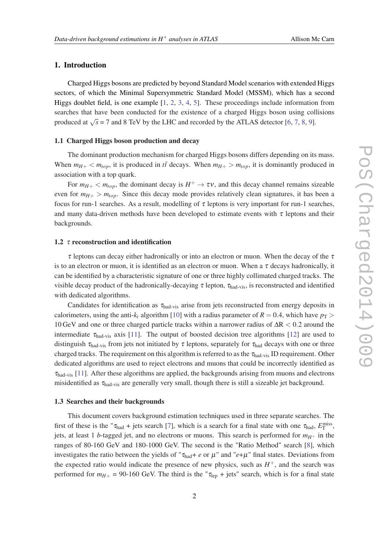# 1. Introduction

Charged Higgs bosons are predicted by beyond Standard Model scenarios with extended Higgs sectors, of which the Minimal Supersymmetric Standard Model (MSSM), which has a second Higgs doublet field, is one example [\[1,](#page-5-0) [2,](#page-5-0) [3](#page-5-0), [4](#page-6-0), [5\]](#page-6-0). These proceedings include information from searches that have been conducted for the existence of a charged Higgs boson using collisions produced at  $\sqrt{s}$  = 7 and 8 TeV by the LHC and recorded by the ATLAS detector [[6](#page-6-0), [7](#page-6-0), [8](#page-6-0), [9](#page-6-0)].

#### 1.1 Charged Higgs boson production and decay

The dominant production mechanism for charged Higgs bosons differs depending on its mass. When  $m_{H+} < m_{top}$ , it is produced in  $t\bar{t}$  decays. When  $m_{H+} > m_{top}$ , it is dominantly produced in association with a top quark.

For  $m_{H+} < m_{top}$ , the dominant decay is  $H^+ \to \tau \nu$ , and this decay channel remains sizeable even for  $m_{H+} > m_{top}$ . Since this decay mode provides relatively clean signatures, it has been a focus for run-1 searches. As a result, modelling of  $\tau$  leptons is very important for run-1 searches, and many data-driven methods have been developed to estimate events with  $\tau$  leptons and their backgrounds.

# 1.2  $\tau$  reconstruction and identification

 $\tau$  leptons can decay either hadronically or into an electron or muon. When the decay of the  $\tau$ is to an electron or muon, it is identified as an electron or muon. When a  $\tau$  decays hadronically, it can be identified by a characteristic signature of one or three highly collimated charged tracks. The visible decay product of the hadronically-decaying  $\tau$  lepton,  $\tau_{\text{had-vis}}$ , is reconstructed and identified with dedicated algorithms.

Candidates for identification as  $\tau_{\text{had}-vis}$  arise from jets reconstructed from energy deposits in calorimeters, using the anti- $k_t$  algorithm [\[10](#page-6-0)] with a radius parameter of  $R = 0.4$ , which have  $p_T >$ 10 GeV and one or three charged particle tracks within a narrower radius of ∆R < 0.2 around the intermediate  $\tau_{\text{had-vis}}$  axis [[11\]](#page-6-0). The output of boosted decision tree algorithms [[12](#page-6-0)] are used to distinguish  $\tau_{\text{had-vis}}$  from jets not initiated by  $\tau$  leptons, separately for  $\tau_{\text{had}}$  decays with one or three charged tracks. The requirement on this algorithm is referred to as the  $\tau_{\text{had-vis}}$  ID requirement. Other dedicated algorithms are used to reject electrons and muons that could be incorrectly identified as  $\tau_{\text{had-vis}}$  [\[11](#page-6-0)]. After these algorithms are applied, the backgrounds arising from muons and electrons misidentified as  $\tau_{\text{had-vis}}$  are generally very small, though there is still a sizeable jet background.

# 1.3 Searches and their backgrounds

This document covers background estimation techniques used in three separate searches. The first of these is the " $\tau_{\text{had}}$  + jets search [\[7\]](#page-6-0), which is a search for a final state with one  $\tau_{\text{had}}$ ,  $E_{\text{T}}^{\text{miss}}$ , jets, at least 1 *b*-tagged jet, and no electrons or muons. This search is performed for  $m_{H^+}$  in the ranges of 80-160 GeV and 180-1000 GeV. The second is the "Ratio Method" search [[8\]](#page-6-0), which investigates the ratio between the yields of " $\tau_{\text{had}} + e$  or  $\mu$ " and " $e + \mu$ " final states. Deviations from the expected ratio would indicate the presence of new physics, such as  $H^+$ , and the search was performed for  $m_{H+}$  = 90-160 GeV. The third is the " $\tau_{\rm lep}$  + jets" search, which is for a final state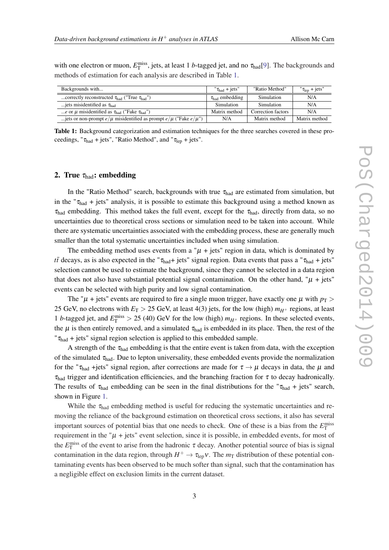with one electron or muon,  $E_T^{\text{miss}}$ , jets, at least 1 *b*-tagged jet, and no  $\tau_{\text{had}}[9]$  $\tau_{\text{had}}[9]$  $\tau_{\text{had}}[9]$ . The backgrounds and methods of estimation for each analysis are described in Table 1.

| Backgrounds with                                                              | $" \tau_{\text{had}} + \text{jets"}$ | "Ratio Method"     | $"\tau_{\text{len}} + \text{jets}"$ |
|-------------------------------------------------------------------------------|--------------------------------------|--------------------|-------------------------------------|
| correctly reconstructed $\tau_{\text{had}}$ ("True $\tau_{\text{had}}$ ")     | $\tau_{\text{had}}$ embedding        | Simulation         | N/A                                 |
| jets misidentified as $\tau_{\text{had}}$                                     | Simulation                           | Simulation         | N/A                                 |
| e or $\mu$ misidentified as $\tau_{\text{had}}$ ("Fake $\tau_{\text{had}}$ ") | Matrix method                        | Correction factors | N/A                                 |
| jets or non-prompt $e/\mu$ misidentified as prompt $e/\mu$ ("Fake $e/\mu$ ")  | N/A                                  | Matrix method      | Matrix method                       |

Table 1: Background categorization and estimation techniques for the three searches covered in these proceedings, " $\tau_{\text{had}}$  + jets", "Ratio Method", and " $\tau_{\text{lep}}$  + jets".

# 2. True  $\tau_{\text{had}}$ : embedding

In the "Ratio Method" search, backgrounds with true  $\tau_{\text{had}}$  are estimated from simulation, but in the " $\tau_{\text{had}}$  + jets" analysis, it is possible to estimate this background using a method known as  $\tau_{\text{had}}$  embedding. This method takes the full event, except for the  $\tau_{\text{had}}$ , directly from data, so no uncertainties due to theoretical cross sections or simulation need to be taken into account. While there are systematic uncertainties associated with the embedding process, these are generally much smaller than the total systematic uncertainties included when using simulation.

The embedding method uses events from a " $\mu$  + jets" region in data, which is dominated by *tt* decays, as is also expected in the " $\tau_{\text{had}}$ + jets" signal region. Data events that pass a " $\tau_{\text{had}}$  + jets" selection cannot be used to estimate the background, since they cannot be selected in a data region that does not also have substantial potential signal contamination. On the other hand, " $\mu$  + jets" events can be selected with high purity and low signal contamination.

The " $\mu$  + jets" events are required to fire a single muon trigger, have exactly one  $\mu$  with  $p_T$  > 25 GeV, no electrons with  $E_T > 25$  GeV, at least 4(3) jets, for the low (high)  $m_{H^+}$  regions, at least 1 *b*-tagged jet, and  $E_T^{\text{miss}} > 25$  (40) GeV for the low (high)  $m_{H^+}$  regions. In these selected events, the  $\mu$  is then entirely removed, and a simulated  $\tau_{had}$  is embedded in its place. Then, the rest of the " $\tau_{\text{had}}$  + jets" signal region selection is applied to this embedded sample.

A strength of the  $\tau_{had}$  embedding is that the entire event is taken from data, with the exception of the simulated  $\tau_{\text{had}}$ . Due to lepton universality, these embedded events provide the normalization for the " $\tau_{\text{had}}$  +jets" signal region, after corrections are made for  $\tau \to \mu$  decays in data, the  $\mu$  and  $\tau_{\text{had}}$  trigger and identification efficiencies, and the branching fraction for  $\tau$  to decay hadronically. The results of  $\tau_{had}$  embedding can be seen in the final distributions for the " $\tau_{had}$  + jets" search, shown in Figure [1](#page-3-0).

While the  $\tau_{\text{had}}$  embedding method is useful for reducing the systematic uncertainties and removing the reliance of the background estimation on theoretical cross sections, it also has several important sources of potential bias that one needs to check. One of these is a bias from the  $E_T^{\text{miss}}$ requirement in the " $\mu$  + jets" event selection, since it is possible, in embedded events, for most of the  $E_{\rm T}^{\rm miss}$  of the event to arise from the hadronic  $\tau$  decay. Another potential source of bias is signal contamination in the data region, through  $H^+ \to \tau_{\rm lep} v$ . The  $m_T$  distribution of these potential contaminating events has been observed to be much softer than signal, such that the contamination has a negligible effect on exclusion limits in the current dataset.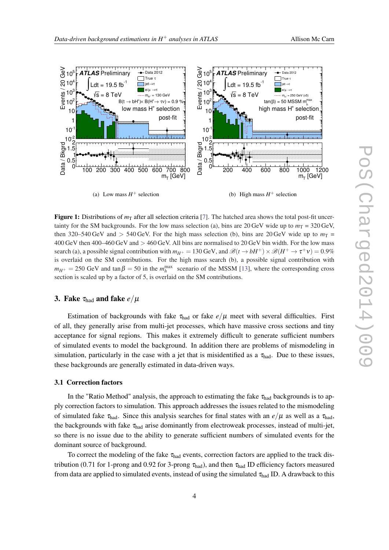<span id="page-3-0"></span>

Figure 1: Distributions of  $m<sub>T</sub>$  after all selection criteria [[7\]](#page-6-0). The hatched area shows the total post-fit uncertainty for the SM backgrounds. For the low mass selection (a), bins are 20 GeV wide up to  $m<sub>T</sub> = 320$  GeV, then 320–540 GeV and  $> 540$  GeV. For the high mass selection (b), bins are 20 GeV wide up to  $m<sub>T</sub>$  = 400 GeV then 400–460 GeV and > 460 GeV. All bins are normalised to 20 GeV bin width. For the low mass search (a), a possible signal contribution with  $m_{H^+} = 130$  GeV, and  $\mathcal{B}(t \to bH^+) \times \mathcal{B}(H^+ \to \tau^+ \nu) = 0.9\%$ is overlaid on the SM contributions. For the high mass search (b), a possible signal contribution with  $m_{H^+} = 250 \text{ GeV}$  and  $\tan \beta = 50$  in the  $m_h^{\text{max}}$  scenario of the MSSM [[13](#page-6-0)], where the corresponding cross section is scaled up by a factor of 5, is overlaid on the SM contributions.

# 3. Fake  $\tau_{\text{had}}$  and fake  $e/\mu$

Estimation of backgrounds with fake  $\tau_{\text{had}}$  or fake  $e/\mu$  meet with several difficulties. First of all, they generally arise from multi-jet processes, which have massive cross sections and tiny acceptance for signal regions. This makes it extremely difficult to generate sufficient numbers of simulated events to model the background. In addition there are problems of mismodeling in simulation, particularly in the case with a jet that is misidentified as a  $\tau_{\text{had}}$ . Due to these issues, these backgrounds are generally estimated in data-driven ways.

# 3.1 Correction factors

In the "Ratio Method" analysis, the approach to estimating the fake  $\tau_{\text{had}}$  backgrounds is to apply correction factors to simulation. This approach addresses the issues related to the mismodeling of simulated fake  $\tau_{\text{had}}$ . Since this analysis searches for final states with an  $e/\mu$  as well as a  $\tau_{\text{had}}$ , the backgrounds with fake  $\tau_{\text{had}}$  arise dominantly from electroweak processes, instead of multi-jet, so there is no issue due to the ability to generate sufficient numbers of simulated events for the dominant source of background.

To correct the modeling of the fake  $\tau_{had}$  events, correction factors are applied to the track distribution (0.71 for 1-prong and 0.92 for 3-prong  $\tau_{\text{had}}$ ), and then  $\tau_{\text{had}}$  ID efficiency factors measured from data are applied to simulated events, instead of using the simulated  $\tau_{had}$  ID. A drawback to this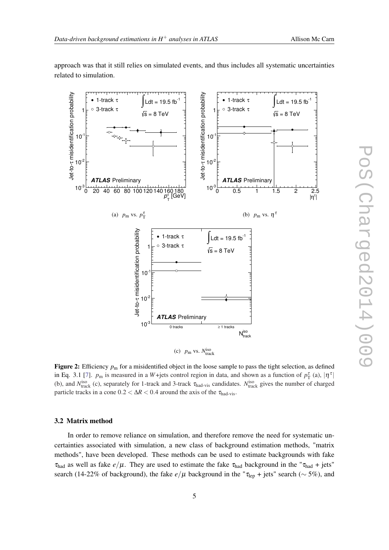<span id="page-4-0"></span>approach was that it still relies on simulated events, and thus includes all systematic uncertainties related to simulation.



Figure 2: Efficiency  $p_m$  for a misidentified object in the loose sample to pass the tight selection, as defined in Eq. 3.1 [[7\]](#page-6-0).  $p_m$  is measured in a W+jets control region in data, and shown as a function of  $p_T^{\tau}$  (a),  $|\eta^{\tau}|$ (b), and  $N_{\text{track}}^{\text{iso}}$  (c), separately for 1-track and 3-track  $\tau_{\text{had-vis}}$  candidates.  $N_{\text{track}}^{\text{iso}}$  gives the number of charged particle tracks in a cone  $0.2 < \Delta R < 0.4$  around the axis of the  $\tau_{\text{had-vis}}$ .

#### 3.2 Matrix method

In order to remove reliance on simulation, and therefore remove the need for systematic uncertainties associated with simulation, a new class of background estimation methods, "matrix methods", have been developed. These methods can be used to estimate backgrounds with fake  $\tau_{\text{had}}$  as well as fake  $e/\mu$ . They are used to estimate the fake  $\tau_{\text{had}}$  background in the " $\tau_{\text{had}}$  + jets" search (14-22% of background), the fake  $e/\mu$  background in the " $\tau_{\rm lep}$  + jets" search (~ 5%), and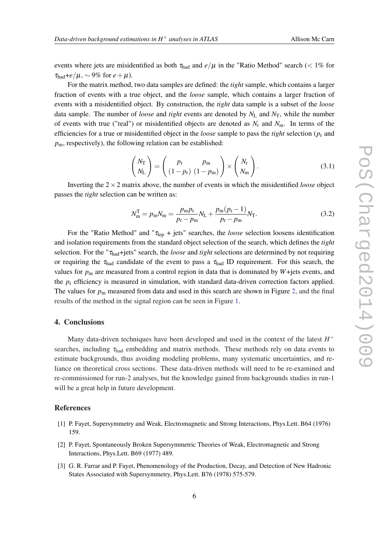<span id="page-5-0"></span>events where jets are misidentified as both  $\tau_{\text{had}}$  and  $e/\mu$  in the "Ratio Method" search (< 1% for  $\tau_{\text{had}}+e/\mu$ , ~ 9% for  $e+\mu$ ).

For the matrix method, two data samples are defined: the *tight* sample, which contains a larger fraction of events with a true object, and the *loose* sample, which contains a larger fraction of events with a misidentified object. By construction, the *tight* data sample is a subset of the *loose* data sample. The number of *loose* and *tight* events are denoted by  $N_L$  and  $N_T$ , while the number of events with true ("real") or misidentified objects are denoted as *N*<sup>r</sup> and *N*m. In terms of the efficiencies for a true or misidentified object in the *loose* sample to pass the *tight* selection (*p*<sup>r</sup> and  $p<sub>m</sub>$ , respectively), the following relation can be established:

$$
\begin{pmatrix} N_{\rm T} \\ N_{\rm L} \end{pmatrix} = \begin{pmatrix} p_{\rm r} & p_{\rm m} \\ (1 - p_{\rm r}) & (1 - p_{\rm m}) \end{pmatrix} \times \begin{pmatrix} N_{\rm r} \\ N_{\rm m} \end{pmatrix}.
$$
 (3.1)

Inverting the  $2 \times 2$  matrix above, the number of events in which the misidentified *loose* object passes the *tight* selection can be written as:

$$
N_{\rm m}^{\rm T} = p_{\rm m} N_{\rm m} = \frac{p_{\rm m} p_{\rm r}}{p_{\rm r} - p_{\rm m}} N_{\rm L} + \frac{p_{\rm m} (p_{\rm r} - 1)}{p_{\rm r} - p_{\rm m}} N_{\rm T}.
$$
 (3.2)

For the "Ratio Method" and " $\tau_{\text{lep}}$  + jets" searches, the *loose* selection loosens identification and isolation requirements from the standard object selection of the search, which defines the *tight* selection. For the "τhad+jets" search, the *loose* and *tight* selections are determined by not requiring or requiring the  $\tau_{had}$  candidate of the event to pass a  $\tau_{had}$  ID requirement. For this search, the values for  $p_m$  are measured from a control region in data that is dominated by  $W +$ jets events, and the *p*<sup>r</sup> efficiency is measured in simulation, with standard data-driven correction factors applied. The values for  $p_m$  measured from data and used in this search are shown in Figure [2](#page-4-0), and the final results of the method in the signal region can be seen in Figure [1](#page-3-0).

# 4. Conclusions

Many data-driven techniques have been developed and used in the context of the latest *H* + searches, including  $\tau_{\text{had}}$  embedding and matrix methods. These methods rely on data events to estimate backgrounds, thus avoiding modeling problems, many systematic uncertainties, and reliance on theoretical cross sections. These data-driven methods will need to be re-examined and re-commissioned for run-2 analyses, but the knowledge gained from backgrounds studies in run-1 will be a great help in future development.

# References

- [1] P. Fayet, Supersymmetry and Weak, Electromagnetic and Strong Interactions, Phys.Lett. B64 (1976) 159.
- [2] P. Fayet, Spontaneously Broken Supersymmetric Theories of Weak, Electromagnetic and Strong Interactions, Phys.Lett. B69 (1977) 489.
- [3] G. R. Farrar and P. Fayet, Phenomenology of the Production, Decay, and Detection of New Hadronic States Associated with Supersymmetry, Phys.Lett. B76 (1978) 575-579.